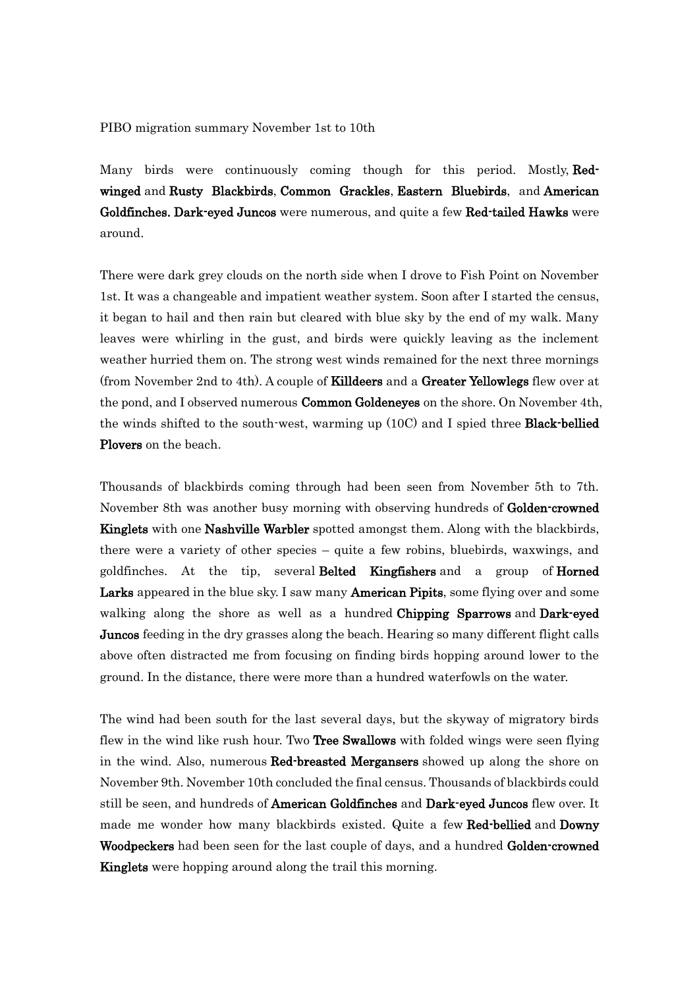PIBO migration summary November 1st to 10th

Many birds were continuously coming though for this period. Mostly, Redwinged and Rusty Blackbirds, Common Grackles, Eastern Bluebirds, and American Goldfinches. Dark-eyed Juncos were numerous, and quite a few Red-tailed Hawks were around.

There were dark grey clouds on the north side when I drove to Fish Point on November 1st. It was a changeable and impatient weather system. Soon after I started the census, it began to hail and then rain but cleared with blue sky by the end of my walk. Many leaves were whirling in the gust, and birds were quickly leaving as the inclement weather hurried them on. The strong west winds remained for the next three mornings (from November 2nd to 4th). A couple of **Killdeers** and a Greater Yellowlegs flew over at the pond, and I observed numerous **Common Goldeneyes** on the shore. On November 4th, the winds shifted to the south-west, warming up (10C) and I spied three Black-bellied Plovers on the beach.

Thousands of blackbirds coming through had been seen from November 5th to 7th. November 8th was another busy morning with observing hundreds of Golden-crowned Kinglets with one Nashville Warbler spotted amongst them. Along with the blackbirds, there were a variety of other species – quite a few robins, bluebirds, waxwings, and goldfinches. At the tip, several Belted Kingfishers and a group of Horned Larks appeared in the blue sky. I saw many **American Pipits**, some flying over and some walking along the shore as well as a hundred Chipping Sparrows and Dark-eyed Juncos feeding in the dry grasses along the beach. Hearing so many different flight calls above often distracted me from focusing on finding birds hopping around lower to the ground. In the distance, there were more than a hundred waterfowls on the water.

The wind had been south for the last several days, but the skyway of migratory birds flew in the wind like rush hour. Two Tree Swallows with folded wings were seen flying in the wind. Also, numerous Red-breasted Mergansers showed up along the shore on November 9th. November 10th concluded the final census. Thousands of blackbirds could still be seen, and hundreds of **American Goldfinches** and **Dark-eyed Juncos** flew over. It made me wonder how many blackbirds existed. Quite a few Red-bellied and Downy Woodpeckers had been seen for the last couple of days, and a hundred Golden-crowned Kinglets were hopping around along the trail this morning.